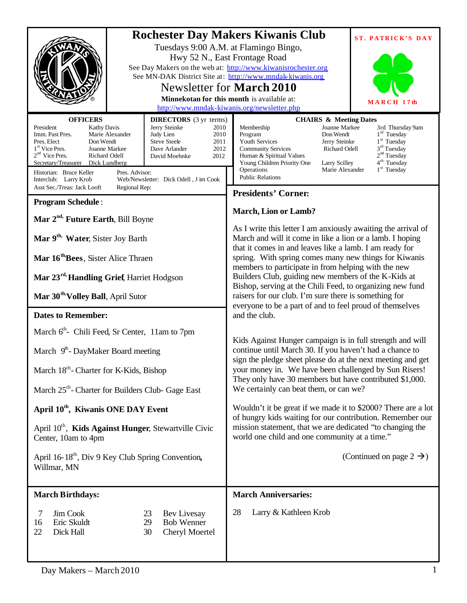|                                                                                                                                                                                                                                                                                                                                                                                                                                                                                                                       | <b>Rochester Day Makers Kiwanis Club</b><br><b>ST. PATRICK'S DAY</b><br>Tuesdays 9:00 A.M. at Flamingo Bingo,<br>Hwy 52 N., East Frontage Road<br>See Day Makers on the web at: http://www.kiwanisrochester.org<br>See MN-DAK District Site at: http://www.mndak-kiwanis.org<br>Newsletter for <b>March 2010</b><br>Minnekotan for this month is available at:<br>MARCH 17th<br>http://www.mndak-kiwanis.org/newsletter.php                                                         |
|-----------------------------------------------------------------------------------------------------------------------------------------------------------------------------------------------------------------------------------------------------------------------------------------------------------------------------------------------------------------------------------------------------------------------------------------------------------------------------------------------------------------------|-------------------------------------------------------------------------------------------------------------------------------------------------------------------------------------------------------------------------------------------------------------------------------------------------------------------------------------------------------------------------------------------------------------------------------------------------------------------------------------|
| <b>OFFICERS</b><br><b>DIRECTORS</b> (3 yr terms)<br>President<br>Jerry Steinke<br><b>Kathy Davis</b><br>2010<br>Marie Alexander<br>Judy Lien<br>Imm. Past Pres.<br>2010<br>Pres. Elect<br>Don Wendt<br><b>Steve Steele</b><br>2011<br>$1st$ Vice Pres.<br>Joanne Markee<br>Dave Arlander<br>2012<br>$2nd$ Vice Pres.<br>Richard Odell<br>2012<br>David Moehnke<br>Secretary/Treasurer<br>Dick Lundberg<br>Historian: Bruce Keller<br>Pres. Advisor:<br>Web/Newsletter: Dick Odell, J im Cook<br>Interclub: Larry Krob | <b>CHAIRS &amp; Meeting Dates</b><br>Membership<br>Joanne Markee<br>3rd Thursday 9am<br>$1rd$ Tuesday<br>Program<br>Don Wendt<br>1 <sup>st</sup> Tuesday<br>Youth Services<br>Jerry Steinke<br>$3rd$ Tuesday<br>Richard Odell<br><b>Community Services</b><br>2 <sup>nd</sup> Tuesday<br>Human & Spiritual Values<br>4 <sup>th</sup> Tuesday<br>Young Children Priority One<br>Larry Scilley<br>1 <sup>st</sup> Tuesday<br>Operations<br>Marie Alexander<br><b>Public Relations</b> |
| Asst Sec./Treas: Jack Looft<br>Regional Rep:                                                                                                                                                                                                                                                                                                                                                                                                                                                                          | <b>Presidents' Corner:</b>                                                                                                                                                                                                                                                                                                                                                                                                                                                          |
| <b>Program Schedule:</b>                                                                                                                                                                                                                                                                                                                                                                                                                                                                                              | <b>March, Lion or Lamb?</b>                                                                                                                                                                                                                                                                                                                                                                                                                                                         |
| Mar 2 <sup>nd,</sup> Future Earth, Bill Boyne                                                                                                                                                                                                                                                                                                                                                                                                                                                                         |                                                                                                                                                                                                                                                                                                                                                                                                                                                                                     |
| Mar 9 <sup>th,</sup> Water, Sister Joy Barth                                                                                                                                                                                                                                                                                                                                                                                                                                                                          | As I write this letter I am anxiously awaiting the arrival of<br>March and will it come in like a lion or a lamb. I hoping                                                                                                                                                                                                                                                                                                                                                          |
| Mar 16 <sup>th</sup> Bees, Sister Alice Thraen                                                                                                                                                                                                                                                                                                                                                                                                                                                                        | that it comes in and leaves like a lamb. I am ready for<br>spring. With spring comes many new things for Kiwanis<br>members to participate in from helping with the new                                                                                                                                                                                                                                                                                                             |
| Mar 23rd, Handling Grief, Harriet Hodgson                                                                                                                                                                                                                                                                                                                                                                                                                                                                             | Builders Club, guiding new members of the K-Kids at                                                                                                                                                                                                                                                                                                                                                                                                                                 |
| Mar 30 <sup>th</sup> , Volley Ball, April Sutor                                                                                                                                                                                                                                                                                                                                                                                                                                                                       | Bishop, serving at the Chili Feed, to organizing new fund<br>raisers for our club. I'm sure there is something for<br>everyone to be a part of and to feel proud of themselves                                                                                                                                                                                                                                                                                                      |
| <b>Dates to Remember:</b>                                                                                                                                                                                                                                                                                                                                                                                                                                                                                             | and the club.                                                                                                                                                                                                                                                                                                                                                                                                                                                                       |
| March 6 <sup>th</sup> - Chili Feed, Sr Center, 11am to 7pm                                                                                                                                                                                                                                                                                                                                                                                                                                                            |                                                                                                                                                                                                                                                                                                                                                                                                                                                                                     |
| March $9th$ - DayMaker Board meeting                                                                                                                                                                                                                                                                                                                                                                                                                                                                                  | Kids Against Hunger campaign is in full strength and will<br>continue until March 30. If you haven't had a chance to<br>sign the pledge sheet please do at the next meeting and get<br>your money in. We have been challenged by Sun Risers!                                                                                                                                                                                                                                        |
| March 18 <sup>th</sup> - Charter for K-Kids, Bishop                                                                                                                                                                                                                                                                                                                                                                                                                                                                   |                                                                                                                                                                                                                                                                                                                                                                                                                                                                                     |
| March 25 <sup>th</sup> - Charter for Builders Club- Gage East                                                                                                                                                                                                                                                                                                                                                                                                                                                         | They only have 30 members but have contributed \$1,000.<br>We certainly can beat them, or can we?                                                                                                                                                                                                                                                                                                                                                                                   |
| April 10 <sup>th</sup> , Kiwanis ONE DAY Event                                                                                                                                                                                                                                                                                                                                                                                                                                                                        | Wouldn't it be great if we made it to \$2000? There are a lot                                                                                                                                                                                                                                                                                                                                                                                                                       |
| April 10 <sup>th</sup> , Kids Against Hunger, Stewartville Civic<br>Center, 10am to 4pm                                                                                                                                                                                                                                                                                                                                                                                                                               | of hungry kids waiting for our contribution. Remember our<br>mission statement, that we are dedicated "to changing the<br>world one child and one community at a time."                                                                                                                                                                                                                                                                                                             |
| April 16-18 <sup>th</sup> , Div 9 Key Club Spring Convention,<br>Willmar, MN                                                                                                                                                                                                                                                                                                                                                                                                                                          | (Continued on page $2 \rightarrow$ )                                                                                                                                                                                                                                                                                                                                                                                                                                                |
| <b>March Birthdays:</b>                                                                                                                                                                                                                                                                                                                                                                                                                                                                                               | <b>March Anniversaries:</b>                                                                                                                                                                                                                                                                                                                                                                                                                                                         |
| Jim Cook<br>Bev Livesay<br>7<br>23<br><b>Bob Wenner</b><br>Eric Skuldt<br>29<br>16<br>22<br>Cheryl Moertel<br>Dick Hall<br>30                                                                                                                                                                                                                                                                                                                                                                                         | Larry & Kathleen Krob<br>28                                                                                                                                                                                                                                                                                                                                                                                                                                                         |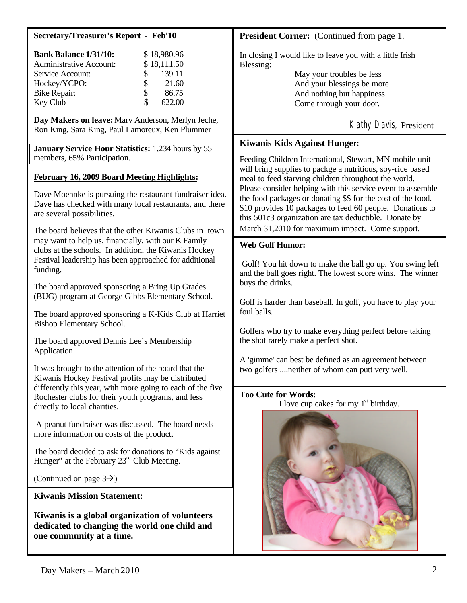| <b>Secretary/Treasurer's Report - Feb'10</b>                                                                                                                                                                                                                   | <b>President Corner:</b> (Continued from page 1.                                                                                                                                                                                                                                                                                                                                                                                                                                                                                                                                                                                                                                                                                                                                                                                                                                         |
|----------------------------------------------------------------------------------------------------------------------------------------------------------------------------------------------------------------------------------------------------------------|------------------------------------------------------------------------------------------------------------------------------------------------------------------------------------------------------------------------------------------------------------------------------------------------------------------------------------------------------------------------------------------------------------------------------------------------------------------------------------------------------------------------------------------------------------------------------------------------------------------------------------------------------------------------------------------------------------------------------------------------------------------------------------------------------------------------------------------------------------------------------------------|
| <b>Bank Balance 1/31/10:</b><br>\$18,980.96<br><b>Administrative Account:</b><br>\$18,111.50<br>139.11<br>Service Account:<br>\$<br>\$<br>21.60<br>Hockey/YCPO:<br>\$<br><b>Bike Repair:</b><br>86.75<br>\$<br>622.00<br>Key Club                              | In closing I would like to leave you with a little Irish<br>Blessing:<br>May your troubles be less<br>And your blessings be more<br>And nothing but happiness<br>Come through your door.                                                                                                                                                                                                                                                                                                                                                                                                                                                                                                                                                                                                                                                                                                 |
| Day Makers on leave: Marv Anderson, Merlyn Jeche,<br>Ron King, Sara King, Paul Lamoreux, Ken Plummer                                                                                                                                                           | Kathy Davis, President                                                                                                                                                                                                                                                                                                                                                                                                                                                                                                                                                                                                                                                                                                                                                                                                                                                                   |
| January Service Hour Statistics: 1,234 hours by 55<br>members, 65% Participation.<br><b>February 16, 2009 Board Meeting Highlights:</b><br>Dave Moehnke is pursuing the restaurant fundraiser idea.<br>Dave has checked with many local restaurants, and there | <b>Kiwanis Kids Against Hunger:</b><br>Feeding Children International, Stewart, MN mobile unit<br>will bring supplies to packge a nutritious, soy-rice based<br>meal to feed starving children throughout the world.<br>Please consider helping with this service event to assemble<br>the food packages or donating \$\$ for the cost of the food.<br>\$10 provides 10 packages to feed 60 people. Donations to<br>this 501c3 organization are tax deductible. Donate by<br>March 31,2010 for maximum impact. Come support.<br><b>Web Golf Humor:</b><br>Golf! You hit down to make the ball go up. You swing left<br>and the ball goes right. The lowest score wins. The winner<br>buys the drinks.<br>Golf is harder than baseball. In golf, you have to play your<br>foul balls.<br>Golfers who try to make everything perfect before taking<br>the shot rarely make a perfect shot. |
| are several possibilities.<br>The board believes that the other Kiwanis Clubs in town                                                                                                                                                                          |                                                                                                                                                                                                                                                                                                                                                                                                                                                                                                                                                                                                                                                                                                                                                                                                                                                                                          |
| may want to help us, financially, with our K Family<br>clubs at the schools. In addition, the Kiwanis Hockey<br>Festival leadership has been approached for additional<br>funding.                                                                             |                                                                                                                                                                                                                                                                                                                                                                                                                                                                                                                                                                                                                                                                                                                                                                                                                                                                                          |
| The board approved sponsoring a Bring Up Grades<br>(BUG) program at George Gibbs Elementary School.                                                                                                                                                            |                                                                                                                                                                                                                                                                                                                                                                                                                                                                                                                                                                                                                                                                                                                                                                                                                                                                                          |
| The board approved sponsoring a K-Kids Club at Harriet<br><b>Bishop Elementary School.</b>                                                                                                                                                                     |                                                                                                                                                                                                                                                                                                                                                                                                                                                                                                                                                                                                                                                                                                                                                                                                                                                                                          |
| The board approved Dennis Lee's Membership<br>Application.                                                                                                                                                                                                     |                                                                                                                                                                                                                                                                                                                                                                                                                                                                                                                                                                                                                                                                                                                                                                                                                                                                                          |
| It was brought to the attention of the board that the<br>Kiwanis Hockey Festival profits may be distributed<br>differently this year, with more going to each of the five                                                                                      | A 'gimme' can best be defined as an agreement between<br>two golfers  neither of whom can putt very well.                                                                                                                                                                                                                                                                                                                                                                                                                                                                                                                                                                                                                                                                                                                                                                                |
| Rochester clubs for their youth programs, and less<br>directly to local charities.                                                                                                                                                                             | <b>Too Cute for Words:</b><br>I love cup cakes for my $1st$ birthday.                                                                                                                                                                                                                                                                                                                                                                                                                                                                                                                                                                                                                                                                                                                                                                                                                    |
| A peanut fundraiser was discussed. The board needs<br>more information on costs of the product.                                                                                                                                                                |                                                                                                                                                                                                                                                                                                                                                                                                                                                                                                                                                                                                                                                                                                                                                                                                                                                                                          |
| The board decided to ask for donations to "Kids against"<br>Hunger" at the February 23 <sup>rd</sup> Club Meeting.                                                                                                                                             |                                                                                                                                                                                                                                                                                                                                                                                                                                                                                                                                                                                                                                                                                                                                                                                                                                                                                          |
| (Continued on page $3\rightarrow$ )                                                                                                                                                                                                                            |                                                                                                                                                                                                                                                                                                                                                                                                                                                                                                                                                                                                                                                                                                                                                                                                                                                                                          |
| <b>Kiwanis Mission Statement:</b>                                                                                                                                                                                                                              |                                                                                                                                                                                                                                                                                                                                                                                                                                                                                                                                                                                                                                                                                                                                                                                                                                                                                          |
| Kiwanis is a global organization of volunteers<br>dedicated to changing the world one child and<br>one community at a time.                                                                                                                                    |                                                                                                                                                                                                                                                                                                                                                                                                                                                                                                                                                                                                                                                                                                                                                                                                                                                                                          |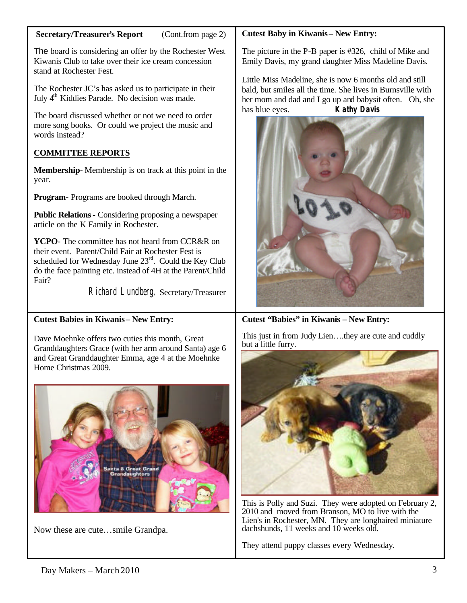#### **Secretary/Treasurer's Report** (Cont.from page 2)

The board is considering an offer by the Rochester West Kiwanis Club to take over their ice cream concession stand at Rochester Fest.

The Rochester JC's has asked us to participate in their July 4<sup>th</sup> Kiddies Parade. No decision was made.

The board discussed whether or not we need to order more song books. Or could we project the music and words instead?

## **COMMITTEE REPORTS**

**Membership-** Membership is on track at this point in the year.

**Program-** Programs are booked through March.

**Public Relations-** Considering proposing a newspaper article on the K Family in Rochester.

**YCPO-** The committee has not heard from CCR&R on their event. Parent/Child Fair at Rochester Fest is scheduled for Wednesday June  $23<sup>rd</sup>$ . Could the Key Club do the face painting etc. instead of 4H at the Parent/Child Fair?

Richard Lundberg, Secretary/Treasurer

## **Cutest Babies in Kiwanis – New Entry:**

Dave Moehnke offers two cuties this month, Great Granddaughters Grace (with her arm around Santa) age 6 and Great Granddaughter Emma, age 4 at the Moehnke Home Christmas 2009.



Now these are cute…smile Grandpa.

## **Cutest Baby in Kiwanis – New Entry:**

The picture in the P-B paper is #326, child of Mike and Emily Davis, my grand daughter Miss Madeline Davis.

Little Miss Madeline, she is now 6 months old and still bald, but smiles all the time. She lives in Burnsville with her mom and dad and I go up and babysit often. Oh, she has blue eyes. **Kathy Davis**



**Cutest "Babies" in Kiwanis – New Entry:** 

This just in from Judy Lien….they are cute and cuddly but a little furry.



This is Polly and Suzi. They were adopted on February 2, 2010 and moved from Branson, MO to live with the Lien's in Rochester, MN. They are longhaired miniature dachshunds, 11 weeks and 10 weeks old.

They attend puppy classes every Wednesday.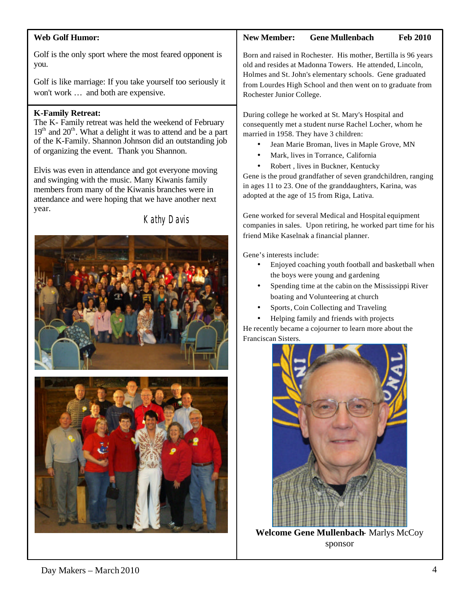### **Web Golf Humor:**

Golf is the only sport where the most feared opponent is you.

Golf is like marriage: If you take yourself too seriously it won't work … and both are expensive.

### **K-Family Retreat:**

The K- Family retreat was held the weekend of February  $19<sup>th</sup>$  and  $20<sup>th</sup>$ . What a delight it was to attend and be a part of the K-Family. Shannon Johnson did an outstanding job of organizing the event. Thank you Shannon.

Elvis was even in attendance and got everyone moving and swinging with the music. Many Kiwanis family members from many of the Kiwanis branches were in attendance and were hoping that we have another next year.

Kathy Davis





# **New Member: Gene Mullenbach Feb 2010**

Born and raised in Rochester. His mother, Bertilla is 96 years old and resides at Madonna Towers. He attended, Lincoln, Holmes and St. John's elementary schools. Gene graduated from Lourdes High School and then went on to graduate from Rochester Junior College.

During college he worked at St. Mary's Hospital and consequently met a student nurse Rachel Locher, whom he married in 1958. They have 3 children:

- Jean Marie Broman, lives in Maple Grove, MN
- Mark, lives in Torrance, California
- Robert, lives in Buckner, Kentucky

Gene is the proud grandfather of seven grandchildren, ranging in ages 11 to 23. One of the granddaughters, Karina, was adopted at the age of 15 from Riga, Lativa.

Gene worked for several Medical and Hospital equipment companies in sales. Upon retiring, he worked part time for his friend Mike Kaselnak a financial planner.

Gene's interests include:

- Enjoyed coaching youth football and basketball when the boys were young and gardening
- Spending time at the cabin on the Mississippi River boating and Volunteering at church
- Sports, Coin Collecting and Traveling
- Helping family and friends with projects

He recently became a cojourner to learn more about the Franciscan Sisters.



**Welcome Gene Mullenbach**- Marlys McCoy sponsor